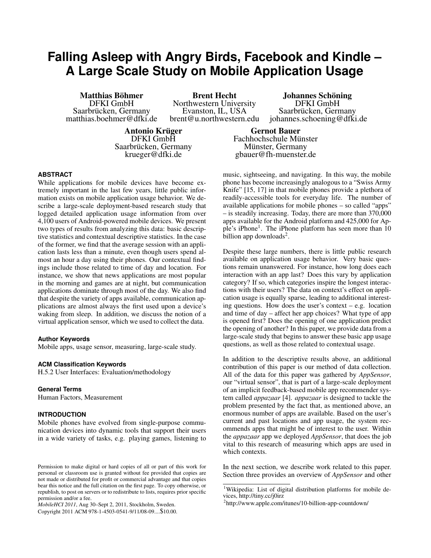# **Falling Asleep with Angry Birds, Facebook and Kindle – A Large Scale Study on Mobile Application Usage**

Matthias Bohmer ¨ DFKI GmbH Saarbrücken, Germany matthias.boehmer@dfki.de

Brent Hecht Northwestern University Evanston, IL, USA brent@u.northwestern.edu

Antonio Krüger DFKI GmbH Saarbrücken, Germany krueger@dfki.de

Gernot Bauer Fachhochschule Münster Münster, Germany gbauer@fh-muenster.de

## **ABSTRACT**

While applications for mobile devices have become extremely important in the last few years, little public information exists on mobile application usage behavior. We describe a large-scale deployment-based research study that logged detailed application usage information from over 4,100 users of Android-powered mobile devices. We present two types of results from analyzing this data: basic descriptive statistics and contextual descriptive statistics. In the case of the former, we find that the average session with an application lasts less than a minute, even though users spend almost an hour a day using their phones. Our contextual findings include those related to time of day and location. For instance, we show that news applications are most popular in the morning and games are at night, but communication applications dominate through most of the day. We also find that despite the variety of apps available, communication applications are almost always the first used upon a device's waking from sleep. In addition, we discuss the notion of a virtual application sensor, which we used to collect the data.

## **Author Keywords**

Mobile apps, usage sensor, measuring, large-scale study.

#### **ACM Classification Keywords**

H.5.2 User Interfaces: Evaluation/methodology

#### **General Terms**

Human Factors, Measurement

#### **INTRODUCTION**

Mobile phones have evolved from single-purpose communication devices into dynamic tools that support their users in a wide variety of tasks, e.g. playing games, listening to

*MobileHCI 2011*, Aug 30–Sept 2, 2011, Stockholm, Sweden.

Copyright 2011 ACM 978-1-4503-0541-9/11/08-09....\$10.00.

music, sightseeing, and navigating. In this way, the mobile phone has become increasingly analogous to a "Swiss Army Knife" [\[15,](#page-9-0) [17\]](#page-9-1) in that mobile phones provide a plethora of readily-accessible tools for everyday life. The number of available applications for mobile phones – so called "apps" – is steadily increasing. Today, there are more than 370,000 apps available for the Android platform and 425,000 for Ap-ple's iPhone<sup>[1](#page-0-0)</sup>. The iPhone platform has seen more than 10 billion app downloads<sup>[2](#page-0-1)</sup>.

Johannes Schöning DFKI GmbH Saarbrücken, Germany johannes.schoening@dfki.de

Despite these large numbers, there is little public research available on application usage behavior. Very basic questions remain unanswered. For instance, how long does each interaction with an app last? Does this vary by application category? If so, which categories inspire the longest interactions with their users? The data on context's effect on application usage is equally sparse, leading to additional interesting questions. How does the user's context – e.g. location and time of day – affect her app choices? What type of app is opened first? Does the opening of one application predict the opening of another? In this paper, we provide data from a large-scale study that begins to answer these basic app usage questions, as well as those related to contextual usage.

In addition to the descriptive results above, an additional contribution of this paper is our method of data collection. All of the data for this paper was gathered by *AppSensor*, our "virtual sensor", that is part of a large-scale deployment of an implicit feedback-based mobile app recommender system called *appazaar* [\[4\]](#page-9-2). *appazaar* is designed to tackle the problem presented by the fact that, as mentioned above, an enormous number of apps are available. Based on the user's current and past locations and app usage, the system recommends apps that might be of interest to the user. Within the *appazaar* app we deployed *AppSensor*, that does the job vital to this research of measuring which apps are used in which contexts.

In the next section, we describe work related to this paper. Section three provides an overview of *AppSensor* and other

Permission to make digital or hard copies of all or part of this work for personal or classroom use is granted without fee provided that copies are not made or distributed for profit or commercial advantage and that copies bear this notice and the full citation on the first page. To copy otherwise, or republish, to post on servers or to redistribute to lists, requires prior specific permission and/or a fee.

<span id="page-0-0"></span><sup>&</sup>lt;sup>1</sup>Wikipedia: List of digital distribution platforms for mobile devices, http://tiny.cc/j0irz

<span id="page-0-1"></span><sup>&</sup>lt;sup>2</sup>http://www.apple.com/itunes/10-billion-app-countdown/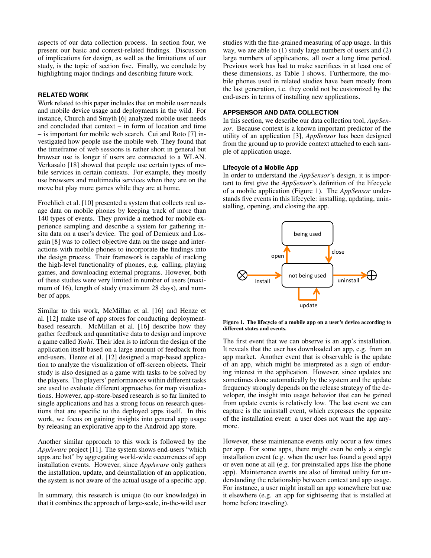aspects of our data collection process. In section four, we present our basic and context-related findings. Discussion of implications for design, as well as the limitations of our study, is the topic of section five. Finally, we conclude by highlighting major findings and describing future work.

## **RELATED WORK**

Work related to this paper includes that on mobile user needs and mobile device usage and deployments in the wild. For instance, Church and Smyth [\[6\]](#page-9-3) analyzed mobile user needs and concluded that context – in form of location and time – is important for mobile web search. Cui and Roto [\[7\]](#page-9-4) investigated how people use the mobile web. They found that the timeframe of web sessions is rather short in general but browser use is longer if users are connected to a WLAN. Verkasalo [\[18\]](#page-9-5) showed that people use certain types of mobile services in certain contexts. For example, they mostly use browsers and multimedia services when they are on the move but play more games while they are at home.

Froehlich et al. [\[10\]](#page-9-6) presented a system that collects real usage data on mobile phones by keeping track of more than 140 types of events. They provide a method for mobile experience sampling and describe a system for gathering insitu data on a user's device. The goal of Demieux and Losguin [\[8\]](#page-9-7) was to collect objective data on the usage and interactions with mobile phones to incorporate the findings into the design process. Their framework is capable of tracking the high-level functionality of phones, e.g. calling, playing games, and downloading external programs. However, both of these studies were very limited in number of users (maximum of 16), length of study (maximum 28 days), and number of apps.

Similar to this work, McMillan et al. [\[16\]](#page-9-8) and Henze et al. [\[12\]](#page-9-9) make use of app stores for conducting deploymentbased research. McMillan et al. [\[16\]](#page-9-8) describe how they gather feedback and quantitative data to design and improve a game called *Yoshi*. Their idea is to inform the design of the application itself based on a large amount of feedback from end-users. Henze et al. [\[12\]](#page-9-9) designed a map-based application to analyze the visualization of off-screen objects. Their study is also designed as a game with tasks to be solved by the players. The players' performances within different tasks are used to evaluate different approaches for map visualizations. However, app-store-based research is so far limited to single applications and has a strong focus on research questions that are specific to the deployed apps itself. In this work, we focus on gaining insights into general app usage by releasing an explorative app to the Android app store.

Another similar approach to this work is followed by the *AppAware* project [\[11\]](#page-9-10). The system shows end-users "which apps are hot" by aggregating world-wide occurrences of app installation events. However, since *AppAware* only gathers the installation, update, and deinstallation of an application, the system is not aware of the actual usage of a specific app.

In summary, this research is unique (to our knowledge) in that it combines the approach of large-scale, in-the-wild user studies with the fine-grained measuring of app usage. In this way, we are able to (1) study large numbers of users and (2) large numbers of applications, all over a long time period. Previous work has had to make sacrifices in at least one of these dimensions, as Table [1](#page-2-0) shows. Furthermore, the mobile phones used in related studies have been mostly from the last generation, i.e. they could not be customized by the end-users in terms of installing new applications.

# **APPSENSOR AND DATA COLLECTION**

In this section, we describe our data collection tool, *AppSensor*. Because context is a known important predictor of the utility of an application [\[3\]](#page-9-11), *AppSensor* has been designed from the ground up to provide context attached to each sample of application usage.

## **Lifecycle of a Mobile App**

In order to understand the *AppSensor*'s design, it is important to first give the *AppSensor*'s definition of the lifecycle of a mobile application (Figure [1\)](#page-1-0). The *AppSensor* understands five events in this lifecycle: installing, updating, uninstalling, opening, and closing the app.



<span id="page-1-0"></span>Figure 1. The lifecycle of a mobile app on a user's device according to different states and events.

The first event that we can observe is an app's installation. It reveals that the user has downloaded an app, e.g. from an app market. Another event that is observable is the update of an app, which might be interpreted as a sign of enduring interest in the application. However, since updates are sometimes done automatically by the system and the update frequency strongly depends on the release strategy of the developer, the insight into usage behavior that can be gained from update events is relatively low. The last event we can capture is the uninstall event, which expresses the opposite of the installation event: a user does not want the app anymore.

However, these maintenance events only occur a few times per app. For some apps, there might even be only a single installation event (e.g. when the user has found a good app) or even none at all (e.g. for preinstalled apps like the phone app). Maintenance events are also of limited utility for understanding the relationship between context and app usage. For instance, a user might install an app somewhere but use it elsewhere (e.g. an app for sightseeing that is installed at home before traveling).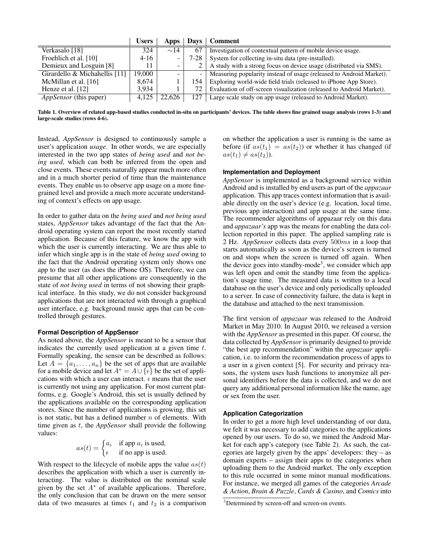|                               | <b>Users</b> | Apps                     | Days                     | ∣ Comment                                                            |
|-------------------------------|--------------|--------------------------|--------------------------|----------------------------------------------------------------------|
| Verkasalo [18]                | 324          | $\sim$ 14                | 67                       | Investigation of contextual pattern of mobile device usage.          |
| Froehlich et al. [10]         | $4-16$       | $\overline{\phantom{0}}$ | 7-28                     | System for collecting in-situ data (pre-installed).                  |
| Demieux and Losguin [8]       | 11           |                          |                          | A study with a strong focus on device usage (distributed via SMS).   |
| Girardello & Michahellis [11] | 19.000       |                          | $\overline{\phantom{0}}$ | Measuring popularity instead of usage (released to Android Market).  |
| McMillan et al. $[16]$        | 8,674        |                          | 154                      | Exploring world-wide field trials (released to iPhone App Store).    |
| Henze et al. $[12]$           | 3.934        |                          | 72                       | Evaluation of off-screen visualization (released to Android Market). |
| <i>AppSensor</i> (this paper) | 4,125        | 22,626                   | 127                      | Large scale study on app usage (released to Android Market).         |

<span id="page-2-0"></span>Table 1. Overview of related app-based studies conducted in-situ on participants' devices. The table shows fine grained usage analysis (rows 1-3) and large-scale studies (rows 4-6).

Instead, *AppSensor* is designed to continuously sample a user's application *usage*. In other words, we are especially interested in the two app states of *being used* and *not being used*, which can both be inferred from the open and close events. These events naturally appear much more often and in a much shorter period of time than the maintenance events. They enable us to observe app usage on a more finegrained level and provide a much more accurate understanding of context's effects on app usage.

In order to gather data on the *being used* and *not being used* states, *AppSensor* takes advantage of the fact that the Android operating system can report the most recently started application. Because of this feature, we know the app with which the user is currently interacting. We are thus able to infer which single app is in the state of *being used* owing to the fact that the Android operating system only shows one app to the user (as does the iPhone OS). Therefore, we can presume that all other applications are consequently in the state of *not being used* in terms of not showing their graphical interface. In this study, we do not consider background applications that are not interacted with through a graphical user interface, e.g. background music apps that can be controlled through gestures.

#### **Formal Description of AppSensor**

As noted above, the *AppSensor* is meant to be a sensor that indicates the currently used application at a given time t. Formally speaking, the sensor can be described as follows: Let  $A = \{a_1, \ldots, a_n\}$  be the set of apps that are available for a mobile device and let  $A^* = A \cup \{\epsilon\}$  be the set of applications with which a user can interact.  $\epsilon$  means that the user is currently not using any application. For most current platforms, e.g. Google's Android, this set is usually defined by the applications available on the corresponding application stores. Since the number of applications is growing, this set is not static, but has a defined number  $n$  of elements. With time given as t, the *AppSensor* shall provide the following values:

$$
as(t) = \begin{cases} a_i & \text{if app } a_i \text{ is used,} \\ \epsilon & \text{if no app is used.} \end{cases}
$$

With respect to the lifecycle of mobile apps the value  $as(t)$ describes the application with which a user is currently interacting. The value is distributed on the nominal scale given by the set  $A^*$  of available applications. Therefore, the only conclusion that can be drawn on the mere sensor data of two measures at times  $t_1$  and  $t_2$  is a comparison

on whether the application a user is running is the same as before (if  $as(t_1) = as(t_2)$ ) or whether it has changed (if  $as(t_1) \neq as(t_2)$ ).

#### **Implementation and Deployment**

*AppSensor* is implemented as a background service within Android and is installed by end users as part of the *appazaar* application. This app traces context information that is available directly on the user's device (e.g. location, local time, previous app interaction) and app usage at the same time. The recommender algorithms of appazaar rely on this data and *appazaar's* app was the means for enabling the data collection reported in this paper. The applied sampling rate is 2 Hz. *AppSensor* collects data every 500ms in a loop that starts automatically as soon as the device's screen is turned on and stops when the screen is turned off again. When the device goes into standby-mode<sup>[3](#page-2-1)</sup>, we consider which app was left open and omit the standby time from the application's usage time. The measured data is written to a local database on the user's device and only periodically uploaded to a server. In case of connectivity failure, the data is kept in the database and attached to the next transmission.

The first version of *appazaar* was released to the Android Market in May 2010. In August 2010, we released a version with the *AppSensor* as presented in this paper. Of course, the data collected by *AppSensor* is primarily designed to provide "the best app recommendation" within the *appazaar* application, i.e. to inform the recommendation process of apps to a user in a given context [\[5\]](#page-9-12). For security and privacy reasons, the system uses hash functions to anonymize all personal identifiers before the data is collected, and we do not query any additional personal information like the name, age or sex from the user.

## **Application Categorization**

In order to get a more high level understanding of our data, we felt it was necessary to add categories to the applications opened by our users. To do so, we mined the Android Market for each app's category (see Table [2\)](#page-3-0). As such, the categories are largely given by the apps' developers: they – as domain experts – assign their apps to the categories when uploading them to the Android market. The only exception to this rule occurred in some minor manual modifications. For instance, we merged all games of the categories *Arcade & Action*, *Brain & Puzzle*, *Cards & Casino*, and *Comics* into

<span id="page-2-1"></span><sup>3</sup>Determined by screen-off and screen-on events.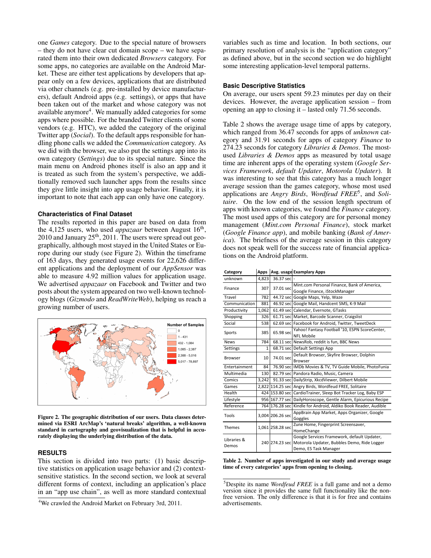one *Games* category. Due to the special nature of browsers – they do not have clear cut domain scope – we have separated them into their own dedicated *Browsers* category. For some apps, no categories are available on the Android Market. These are either test applications by developers that appear only on a few devices, applications that are distributed via other channels (e.g. pre-installed by device manufacturers), default Android apps (e.g. settings), or apps that have been taken out of the market and whose category was not available anymore<sup>[4](#page-3-1)</sup>. We manually added categories for some apps where possible. For the branded Twitter clients of some vendors (e.g. HTC), we added the category of the original Twitter app (*Social*). To the default apps responsible for handling phone calls we added the *Communication* category. As we did with the browser, we also put the settings app into its own category (*Settings*) due to its special nature. Since the main menu on Android phones itself is also an app and it is treated as such from the system's perspective, we additionally removed such launcher apps from the results since they give little insight into app usage behavior. Finally, it is important to note that each app can only have one category.

## **Characteristics of Final Dataset**

The results reported in this paper are based on data from the 4,125 users, who used *appazaar* between August 16<sup>th</sup>,  $2010$  and January  $25<sup>th</sup>$ ,  $2011$ . The users were spread out geographically, although most stayed in the United States or Europe during our study (see Figure [2\)](#page-3-2). Within the timeframe of 163 days, they generated usage events for 22,626 different applications and the deployment of our *AppSensor* was able to measure 4.92 million values for application usage. We advertised *appazaar* on Facebook and Twitter and two posts about the system appeared on two well-known technology blogs (*Gizmodo* and *ReadWriteWeb*), helping us reach a growing number of users.



<span id="page-3-2"></span>Figure 2. The geographic distribution of our users. Data classes determined via ESRI ArcMap's 'natural breaks' algorithm, a well-known standard in cartography and geovisualization that is helpful in accurately displaying the underlying distribution of the data.

## **RESULTS**

This section is divided into two parts: (1) basic descriptive statistics on application usage behavior and (2) contextsensitive statistics. In the second section, we look at several different forms of context, including an application's place in an "app use chain", as well as more standard contextual

variables such as time and location. In both sections, our primary resolution of analysis is the "application category" as defined above, but in the second section we do highlight some interesting application-level temporal patterns.

## **Basic Descriptive Statistics**

On average, our users spent 59.23 minutes per day on their devices. However, the average application session – from opening an app to closing it – lasted only 71.56 seconds.

Table [2](#page-3-0) shows the average usage time of apps by category, which ranged from 36.47 seconds for apps of *unknown* category and 31.91 seconds for apps of category *Finance* to 274.23 seconds for category *Libraries & Demos*. The mostused *Libraries & Demos* apps as measured by total usage time are inherent apps of the operating system (*Google Services Framework*, *default Updater*, *Motorola Updater*). It was interesting to see that this category has a much longer average session than the games category, whose most used applications are *Angry Birds*, *Wordfeud FREE*[5](#page-3-3) , and *Solitaire*. On the low end of the session length spectrum of apps with known categories, we found the *Finance* category. The most used apps of this category are for personal money management (*Mint.com Personal Finance*), stock market (*Google Finance app*), and mobile banking (*Bank of America*). The briefness of the average session in this category does not speak well for the success rate of financial applications on the Android platform.

| Category       |              |                  | Apps   Avg. usage Examplary Apps                               |
|----------------|--------------|------------------|----------------------------------------------------------------|
| unknown        | 4,823        | 36.37 sec        |                                                                |
| Finance        | 307          | 37.01 sec        | Mint.com Personal Finance. Bank of America.                    |
|                |              |                  | Google Finance, iStockManager                                  |
| Travel         | 782          |                  | 44.72 sec Google Maps, Yelp, Waze                              |
| Communication  | 881          |                  | 46.92 sec Google Mail, Handcent SMS, K-9 Mail                  |
| Productivity   | 1,062        |                  | 61.49 sec Calendar, Evernote, GTasks                           |
| Shopping       | 326          |                  | 61.71 sec Market, Barcode Scanner, Craigslist                  |
| Social         | 538          |                  | 62.69 sec Facebook for Android, Twitter, TweetDeck             |
| Sports         | 385          | 65.98 sec        | Yahoo! Fantasy Football '10, ESPN ScoreCenter,                 |
|                |              |                  | <b>NFL Mobile</b>                                              |
| <b>News</b>    | 784          |                  | 68.11 sec NewsRob, reddit is fun, BBC News                     |
| Settings       | $\mathbf{1}$ |                  | 68.71 sec Default Settings App                                 |
| <b>Browser</b> | 10           | 74.01 sec        | Default Browser, Skyfire Browser, Dolphin                      |
|                |              |                  | <b>Browser</b>                                                 |
| Entertainment  | 84           |                  | 76.90 sec IMDb Movies & TV, TV Guide Mobile, PhotoFunia        |
| Multimedia     | 130          |                  | 82.79 sec Pandora Radio, Music, Camera                         |
| Comics         | 3.242        |                  | 91.33 sec DailyStrip, XkcdViewer, Dilbert Mobile               |
| Games          |              | 2,822 114.25 sec | Angry Birds, Wordfeud FREE, Solitaire                          |
| Health         |              |                  | 424 153.80 sec CardioTrainer, Sleep Bot Tracker Log, Baby ESP  |
| Lifestyle      |              |                  | 956 167.77 sec DailyHoroscope, Gentle Alarm, Epicurious Recipe |
| Reference      |              |                  | 764 176.28 sec Kindle for Android, Aldiko Book Reader, Audible |
| Tools          |              | 3,004 206.26 sec | AppBrain App Market, Apps Organizer, Google                    |
|                |              |                  | Goggles                                                        |
| Themes         |              | 1,061 258.28 sec | Zune Home, Fingerprint Screensaver,                            |
|                |              |                  | HomeChange                                                     |
| Libraries &    |              |                  | Google Services Framework, default Updater,                    |
| Demos          |              |                  | 240 274.23 sec Motorola Updater, Bubbles Demo, Ride Logger     |
|                |              |                  | Demo, ES Task Manager                                          |

<span id="page-3-0"></span>Table 2. Number of apps investigated in our study and average usage time of every categories' apps from opening to closing.

<span id="page-3-1"></span><sup>4</sup>We crawled the Android Market on February 3rd, 2011.

<span id="page-3-3"></span><sup>5</sup>Despite its name *Wordfeud FREE* is a full game and not a demo version since it provides the same full functionality like the nonfree version. The only difference is that it is for free and contains advertisements.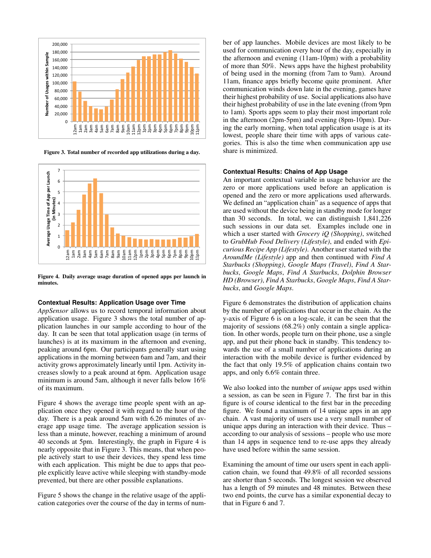

<span id="page-4-0"></span>Figure 3. Total number of recorded app utilizations during a day.



<span id="page-4-1"></span>Figure 4. Daily average usage duration of opened apps per launch in minutes.

## **Contextual Results: Application Usage over Time**

*AppSensor* allows us to record temporal information about application usage. Figure [3](#page-4-0) shows the total number of application launches in our sample according to hour of the day. It can be seen that total application usage (in terms of launches) is at its maximum in the afternoon and evening, peaking around 6pm. Our participants generally start using applications in the morning between 6am and 7am, and their activity grows approximately linearly until 1pm. Activity increases slowly to a peak around at 6pm. Application usage minimum is around 5am, although it never falls below 16% of its maximum.

Figure [4](#page-4-1) shows the average time people spent with an application once they opened it with regard to the hour of the day. There is a peak around 5am with 6.26 minutes of average app usage time. The average application session is less than a minute, however, reaching a minimum of around 40 seconds at 5pm. Interestingly, the graph in Figure [4](#page-4-1) is nearly opposite that in Figure [3.](#page-4-0) This means, that when people actively start to use their devices, they spend less time with each application. This might be due to apps that people explicitly leave active while sleeping with standby-mode prevented, but there are other possible explanations.

Figure [5](#page-5-0) shows the change in the relative usage of the application categories over the course of the day in terms of number of app launches. Mobile devices are most likely to be used for communication every hour of the day, especially in the afternoon and evening (11am-10pm) with a probability of more than 50%. News apps have the highest probability of being used in the morning (from 7am to 9am). Around 11am, finance apps briefly become quite prominent. After communication winds down late in the evening, games have their highest probability of use. Social applications also have their highest probability of use in the late evening (from 9pm to 1am). Sports apps seem to play their most important role in the afternoon (2pm-5pm) and evening (8pm-10pm). During the early morning, when total application usage is at its lowest, people share their time with apps of various categories. This is also the time when communication app use share is minimized.

#### **Contextual Results: Chains of App Usage**

An important contextual variable in usage behavior are the zero or more applications used before an application is opened and the zero or more applications used afterwards. We defined an "application chain" as a sequence of apps that are used without the device being in standby mode for longer than 30 seconds. In total, we can distinguish 1,841,226 such sessions in our data set. Examples include one in which a user started with *Grocery iQ (Shopping)*, switched to *GrubHub Food Delivery (Lifestyle)*, and ended with *Epicurious Recipe App (Lifestyle)*. Another user started with the *AroundMe (Lifestyle)* app and then continued with *Find A Starbucks (Shopping)*, *Google Maps (Travel)*, *Find A Starbucks*, *Google Maps*, *Find A Starbucks*, *Dolphin Browser HD (Browser)*, *Find A Starbucks*, *Google Maps*, *Find A Starbucks*, and *Google Maps*.

Figure [6](#page-5-1) demonstrates the distribution of application chains by the number of applications that occur in the chain. As the y-axis of Figure [6](#page-5-1) is on a log-scale, it can be seen that the majority of sessions (68.2%) only contain a single application. In other words, people turn on their phone, use a single app, and put their phone back in standby. This tendency towards the use of a small number of applications during an interaction with the mobile device is further evidenced by the fact that only 19.5% of application chains contain two apps, and only 6.6% contain three.

We also looked into the number of *unique* apps used within a session, as can be seen in Figure [7.](#page-5-2) The first bar in this figure is of course identical to the first bar in the preceding figure. We found a maximum of 14 unique apps in an app chain. A vast majority of users use a very small number of unique apps during an interaction with their device. Thus – according to our analysis of sessions – people who use more than 14 apps in sequence tend to re-use apps they already have used before within the same session.

Examining the amount of time our users spent in each application chain, we found that 49.8% of all recorded sessions are shorter than 5 seconds. The longest session we observed has a length of 59 minutes and 48 minutes. Between these two end points, the curve has a similar exponential decay to that in Figure [6](#page-5-1) and [7.](#page-5-2)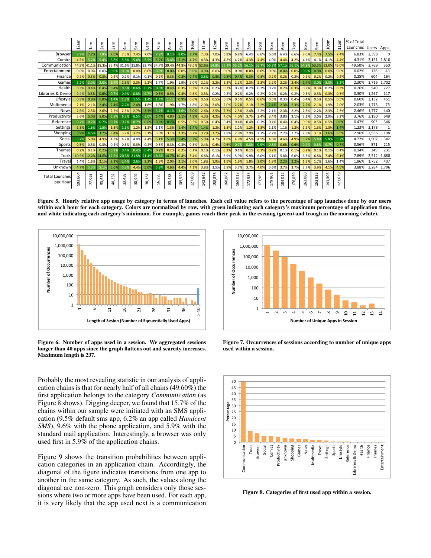

<span id="page-5-0"></span>Figure 5. Hourly relative app usage by category in terms of launches. Each cell value refers to the percentage of app launches done by our users within each hour for each category. Colors are normalized by row, with green indicating each category's maximum percentage of application time, and white indicating each category's minimum. For example, games reach their peak in the evening (green) and trough in the morning (white).



<span id="page-5-1"></span>Figure 6. Number of apps used in a session. We aggregated sessions longer than 40 apps since the graph flattens out and scarcity increases. Maximum length is 237.

Probably the most revealing statistic in our analysis of application chains is that for nearly half of all chains (49.60%) the first application belongs to the category Communication (as Figure 8 shows). Digging deeper, we found that 15.7% of the chains within our sample were initiated with an SMS application (9.5% default sms app, 6.2% an app called *Handcent* SMS), 9.6% with the phone application, and 5.9% with the standard mail application. Interestingly, a browser was only used first in 5.9% of the application chains.

Figure 9 shows the transition probabilities between application categories in an application chain. Accordingly, the diagonal of the figure indicates transitions from one app to another in the same category. As such, the values along the diagonal are non-zero. This graph considers only those sessions where two or more apps have been used. For each app, it is very likely that the app used next is a communication



<span id="page-5-2"></span>Figure 7. Occurrences of sessions according to number of unique apps used within a session.



<span id="page-5-3"></span>Figure 8. Categories of first used app within a session.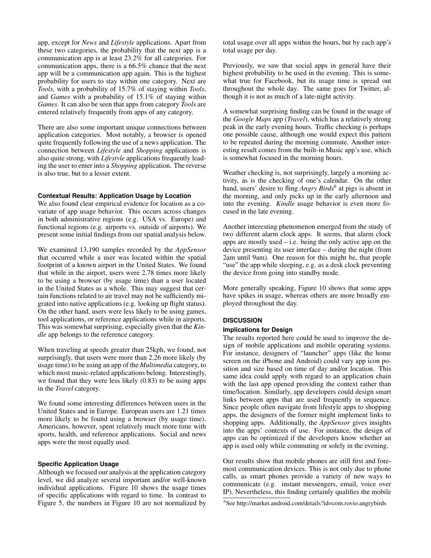app, except for *News* and *Lifestyle* applications. Apart from these two categories, the probability that the next app is a communication app is at least 23.2% for all categories. For communication apps, there is a 66.5% chance that the next app will be a communication app again. This is the highest probability for users to stay within one category. Next are *Tools*, with a probability of 15.7% of staying within *Tools*, and *Games* with a probability of 15.1% of staying within *Games*. It can also be seen that apps from category *Tools* are entered relatively frequently from apps of any category.

There are also some important unique connections between application categories. Most notably, a browser is opened quite frequently following the use of a news application. The connection between *Lifestyle* and *Shopping* applications is also quite strong, with *Lifestyle* applications frequently leading the user to enter into a *Shopping* application. The reverse is also true, but to a lesser extent.

## **Contextual Results: Application Usage by Location**

We also found clear empirical evidence for location as a covariate of app usage behavior. This occurs across changes in both administrative regions (e.g. USA vs. Europe) and functional regions (e.g. airports vs. outside of airports). We present some initial findings from our spatial analysis below.

We examined 13,190 samples recorded by the *AppSensor* that occurred while a user was located within the spatial footprint of a known airport in the United States. We found that while in the airport, users were 2.78 times more likely to be using a browser (by usage time) than a user located in the United States as a whole. This may suggest that certain functions related to air travel may not be sufficiently migrated into native applications (e.g. looking up flight status). On the other hand, users were less likely to be using games, tool applications, or reference applications while in airports. This was somewhat surprising, especially given that the *Kindle* app belongs to the reference category.

When traveling at speeds greater than 25kph, we found, not surprisingly, that users were more than 2.26 more likely (by usage time) to be using an app of the *Multimedia* category, to which most music-related applications belong. Interestingly, we found that they were less likely (0.83) to be using apps in the *Travel* category.

We found some interesting differences between users in the United States and in Europe. European users are 1.21 times more likely to be found using a browser (by usage time). Americans, however, spent relatively much more time with sports, health, and reference applications. Social and news apps were the most equally used.

## **Specific Application Usage**

Although we focused our analysis at the application category level, we did analyze several important and/or well-known individual applications. Figure [10](#page-8-0) shows the usage times of specific applications with regard to time. In contrast to Figure [5,](#page-5-0) the numbers in Figure [10](#page-8-0) are not normalized by total usage over all apps within the hours, but by each app's total usage per day.

Previously, we saw that social apps in general have their highest probability to be used in the evening. This is somewhat true for Facebook, but its usage time is spread out throughout the whole day. The same goes for Twitter, although it is not as much of a late-night activity.

A somewhat surprising finding can be found in the usage of the *Google Maps* app (*Travel*), which has a relatively strong peak in the early evening hours. Traffic checking is perhaps one possible cause, although one would expect this pattern to be repeated during the morning commute. Another interesting result comes from the built-in Music app's use, which is somewhat focused in the morning hours.

Weather checking is, not surprisingly, largely a morning activity, as is the checking of one's calendar. On the other hand, users' desire to fling *Angry Birds*[6](#page-6-0) at pigs is absent in the morning, and only picks up in the early afternoon and into the evening. *Kindle* usage behavior is even more focused in the late evening.

Another interesting phenomenon emerged from the study of two different alarm clock apps. It seems, that alarm clock apps are mostly used  $-$  i.e. being the only active app on the device presenting its user interface – during the night (from 2am until 9am). One reason for this might be, that people "use" the app while sleeping, e.g. as a desk clock preventing the device from going into standby mode.

More generally speaking, Figure [10](#page-8-0) shows that some apps have spikes in usage, whereas others are more broadly employed throughout the day.

## **DISCUSSION**

## **Implications for Design**

The results reported here could be used to improve the design of mobile applications and mobile operating systems. For instance, designers of "launcher" apps (like the home screen on the iPhone and Android) could vary app icon position and size based on time of day and/or location. This same idea could apply with regard to an application chain with the last app opened providing the context rather than time/location. Similarly, app developers could design smart links between apps that are used frequently in sequence. Since people often navigate from lifestyle apps to shopping apps, the designers of the former might implement links to shopping apps. Additionally, the *AppSensor* gives insights into the apps' contexts of use. For instance, the design of apps can be optimized if the developers know whether an app is used only while commuting or solely in the evening.

Our results show that mobile phones are still first and foremost communication devices. This is not only due to phone calls, as smart phones provide a variety of new ways to communicate (e.g. instant messengers, email, voice over IP). Nevertheless, this finding certainly qualifies the mobile

<span id="page-6-0"></span><sup>6</sup> See http://market.android.com/details?id=com.rovio.angrybirds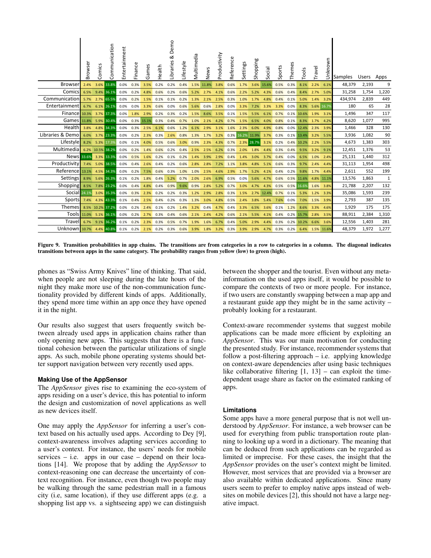|                      | Browser | Comics           | Communication | Entertainment | Finance         | Games         | Health                  | Demo<br>ఱ<br>Libraries  | Lifestyle    | edia<br>Multim | News                                    | uctivity<br>Prod | Reference | Settings         | 5<br>Shoppin | Social     | Sports | emes<br>흔  | sloo          | Travel     | ş<br>Unknov | <b>Samples</b> | Users | Apps         |
|----------------------|---------|------------------|---------------|---------------|-----------------|---------------|-------------------------|-------------------------|--------------|----------------|-----------------------------------------|------------------|-----------|------------------|--------------|------------|--------|------------|---------------|------------|-------------|----------------|-------|--------------|
| Browser              | 2.4%    |                  | 3.6% 33.8%    | 0.0%          | 0.3%            | 3.5%          | 0.2%                    | 0.2%                    | 0.4%         |                | 1.5% 11.8%                              | 3.8%             | 0.6%      | 1.7%             | 3.6%         | 15.6%      | 0.5%   | 0.3%       | 8.1%          | 2.2%       | 6.1%        | 48,379         | 2,193 | 9            |
| Comics               | 6.5%    |                  | 9.4% 36.1%    | 0.0%          | 0.2%            | 4.8%          |                         | 0.6% 0.2% 0.6%          |              |                | 5.2% 2.7% 4.1%                          |                  |           | $0.6\%$ 2.2%     | 5.2%         | 4.3%       | 0.6%   | 0.4%       | 8.4%          | 2.7%       | 5.0%        | 31,258         | 1,754 | 1,220        |
| Communication        |         | 5.7% 2.7% 65.5%  |               | 0.0%          | 0.2%            | 1.5%          |                         | $0.1\%$ $0.1\%$ $0.2\%$ |              |                | 1.3% 2.1% 2.5%                          |                  | 0.3%      | 1.0%             | 1.7%         | 4.8%       | 0.4%   | 0.1%       | 5.0%          | 1.4%       | 3.2%        | 434,974        | 2,839 | 449          |
| <b>Entertainment</b> | 6.7%    |                  | 6.1% 26.1%    | 0.0%          | 0.0%            | 3.3%          | 0.6%                    | 0.0%                    | 0.6%         | 5.6%           | 0.6%                                    | 2.8%             | 0.0%      | 3.3%             | 7.2%         | 3.3%       | 3.3%   | 0.0%       | 8.3%          | 5.6%       | 16.7%       | 180            | 65    | 28           |
| Financel             | 10.3%   |                  | 3.7% 37.3%    | 0.0%          |                 | 1.8% 2.9%     |                         | $0.2\%$ $0.3\%$ $0.2\%$ |              | 1.5%           | 8.6% 3.5%                               |                  | 0.1%      | 1.5%             | 5.5%         | 6.1%       | 0.7%   |            | 0.1% 10.6%    | 1.9% 3.1%  |             | 1,496          | 347   | 117          |
| Games 11.8%          |         |                  | 5.9% 30.4%    | 0.0%          |                 | $0.3\%$ 15.1% |                         |                         |              |                | 0.3% 0.4% 0.7% 1.0% 2.1% 4.2% 0.7% 1.5% |                  |           |                  | 6.5%         | 4.0%       | 0.8%   | 0.1%       | 8.3%          | 1.7%       | 4.2%        | 8.620          | 1,077 | 995          |
| Health               | 3.8%    |                  | 4.8% 34.3%    | 0.0%          | 0.3%            |               | 2.5% 6.1%               | 0.6% 1.2%               |              |                | 6.1% 2.9% 3.1% 1.6% 2.3%                |                  |           |                  | 6.0%         | 4.9%       | 0.8%   |            | 0.0% 12.4%    | 2.3%       | 3.9%        | 1,466          | 328   | 130          |
| Libraries & Demol    |         | 6.0% 3.7% 23.3%  |               | 0.0%          | 0.2%            | 2.3%          | 0.3%                    |                         |              |                | 2.6% 0.8% 1.3% 1.7% 3.2%                |                  |           | 0.3% 16.2% 11.9% |              | 3.7%       | 0.3%   |            | 0.1% 13.4%    | 3.2%       | 5.5%        | 3,936          | 1,082 | 90           |
| Lifestyle            |         | 8.2% 5.3% 17.3%  |               | 0.0%          | 0.1%            | 4.0%          | 0.5%                    | 0.6%                    | 3.0%         |                | 0.9% 2.3% 4.3%                          |                  | 0.7%      | 2.3% 28.7%       |              | 3.1%       | 0.2%   |            | 0.4% 10.2%    | 2.2%       | 5.5%        | 4,673          | 1,383 | 303          |
| Multimedial          |         | 6.2% 10.5% 38.2% |               | 0.0%          |                 | $0.2\%$ 1.4%  | $0.6\%$ 0.2%            |                         |              |                | 0.4% 2.5% 2.5% 6.2%                     |                  | 0.3%      |                  | 2.0% 1.8%    | 4.4%       | 0.3%   | 0.4%       | 9.5%          | 3.2%       | 9.1%        | 12,451         | 1,376 | 53           |
| News 33.6%           |         |                  | 3.3% 33.3%    | 0.0%          | 0.5%            | 1.6%          | 0.2%                    |                         | $0.1\%$ 0.2% |                | 1.4% 3.9% 2.9%                          |                  | 0.4%      | 1.4%             | 3.0%         | 3.7%       | 0.4%   | 0.0%       | 6.5%          | 1.0%       | 2.4%        | 25,131         | 1,440 | 312          |
| <b>Productivity</b>  |         | 7.4% 5.0% 38.5%  |               | 0.0%          | 0.4%            | 2.6%          | 0.4%                    | 0.2% 0.6%               |              |                | 2.8% 2.8% 7.2%                          |                  | 1.1%      | 3.8%             | 4.8%         | 5.1%       | 0.6%   | 0.3%       | 9.7%          | 2.4%       | 4.4%        | 31,113         | 1,954 | 498          |
| Reference 13.1%      |         |                  | 4.5% 34.3%    | 0.0%          | 0.2%            | 7.5%          |                         |                         |              |                | 0.6% 0.3% 1.0% 1.0% 2.5% 4.6% 2.9%      |                  |           | 1.7%             | 5.2%         | 4.1%       | 0.4%   | 0.2%       | 9.8%          | 1.7%       | 4.4%        | 2,611          | 552   | 199          |
| Settings             | 8.9%    |                  | 5.6% 26.3%    | 0.1%          | 0.2%            | 1.8%          | 0.4%                    | 5.2%                    | 0.7%         | 2.0%           | 2.6%                                    | 6.9%             | 0.5%      | 0.0%             | 5.6%         | 4.7%       | 0.6%   |            | 0.5% 11.6%    | 4.8% 11.1% |             | 13,576         | 1,863 | $\mathbf{1}$ |
| <b>Shopping</b>      |         | 8.5% 7.8% 23.2%  |               | 0.0%          | 0.4%            | 4.8%          | 0.4% 0.9%               |                         | 9.6%         |                | 0.9% 2.8% 5.2%                          |                  | 0.7%      | 3.0%             | 4.7%         | 4.3%       | 0.5%   | 0.5% 16.6% |               | 1.6%       | 3.8%        | 21,788         | 2,207 | 132          |
| <b>Socia</b> 24.1%   |         |                  | 3.0% 35.3%    | 0.0%          | 0.3%            | 2.3%          | 0.2%                    | 0.2%                    |              |                | 0.3% 1.2% 2.9%                          | 2.8%             | 0.3%      | 1.5%             |              | 2.7% 12.4% | 0.7%   | 0.1%       | 5.3%          | 1.2%       | 3.3%        | 35,086         | 1,593 | 239          |
| Sportsl              |         | 7.4% 4.3% 43.3%  |               | 0.1%          | 0.4%            | 2.5%          | 0.4%                    | 0.2%                    |              |                | 0.3% 1.3% 3.0%                          | 4.8%             | 0.5%      | 2.4%             | 3.8%         | 5.4%       | 7.6%   | 0.0%       | 7.0%          | 1.5%       | 3.9%        | 2,793          | 387   | 135          |
| <b>Themes</b>        |         | 8.5% 10.2% 37.2% |               | 0.0%          | 0.2%            | 2.4%          | 0.1%                    | 0.2%                    | 1.4%         | 3.2%           | 0.4%                                    | 4.7%             | 0.4%      | 3.3%             | 6.5%         | 3.6%       | 0.1%   | 1.2%       | 8.6%          | 3.3%       | 4.6%        | 1,929          | 175   | 175          |
| Tools 11.0%          |         |                  | 5.1% 36.1%    | 0.0%          | 0.2%            | 2.7%          | 0.3%                    | 0.4%                    | 0.6%         |                | 2.1% 2.4%                               | 4.2%             | 0.6%      | 2.1%             | 5.5%         | 4.1%       | 0.4%   | 0.2%       | 15.7%         | 2.8%       | 3.5%        | 88.911         | 2,384 | 1,310        |
| Travell              | 6.7%    |                  | 9.1% 36.2%    |               | $0.1\%$ $0.2\%$ | 2.3%          |                         | 0.3% 0.5% 0.7%          |              |                | 1.9% 1.6%                               | 6.7%             | 0.4%      | 5.0%             | 2.9%         | 4.4%       | 0.3%   |            | $0.2\%$ 10.2% | 6.6%       | 3.6%        | 12,556         | 1,403 | 281          |
| Unknown 10.7%        |         |                  | 4.4% 40.8%    |               | $0.1\%$ 0.2%    | 2.1%          | $0.2\%$ $0.3\%$ $0.6\%$ |                         |              |                | 3.9% 1.8% 3.2%                          |                  | 0.3%      | 3.9%             | 2.9%         | 4.7%       | 0.3%   | 0.2%       | 6.4%          | 1.5% 11.6% |             | 48,379         | 1,972 | 1,277        |

<span id="page-7-0"></span>Figure 9. Transition probabilities in app chains. The transitions are from categories in a row to categories in a column. The diagonal indicates transitions between apps in the same category. The probability ranges from yellow (low) to green (high).

phones as "Swiss Army Knives" line of thinking. That said, when people are not sleeping during the late hours of the night they make more use of the non-communication functionality provided by different kinds of apps. Additionally, they spend more time within an app once they have opened it in the night.

Our results also suggest that users frequently switch between already used apps in application chains rather than only opening new apps. This suggests that there is a functional cohesion between the particular utilizations of single apps. As such, mobile phone operating systems should better support navigation between very recently used apps.

## **Making Use of the AppSensor**

The *AppSensor* gives rise to examining the eco-system of apps residing on a user's device, this has potential to inform the design and customization of novel applications as well as new devices itself.

One may apply the *AppSensor* for inferring a user's context based on his actually used apps. According to Dey [\[9\]](#page-9-13), context-awareness involves adapting services according to a user's context. For instance, the users' needs for mobile services – i.e. apps in our case – depend on their locations [\[14\]](#page-9-14). We propose that by adding the *AppSensor* to context-reasoning one can decrease the uncertainty of context recognition. For instance, even though two people may be walking through the same pedestrian mall in a famous city (i.e, same location), if they use different apps (e.g. a shopping list app vs. a sightseeing app) we can distinguish between the shopper and the tourist. Even without any metainformation on the used apps itself, it would be possible to compare the contexts of two or more people. For instance, if two users are constantly swapping between a map app and a restaurant guide app they might be in the same activity – probably looking for a restaurant.

Context-aware recommender systems that suggest mobile applications can be made more efficient by exploiting an *AppSensor*. This was our main motivation for conducting the presented study. For instance, recommender systems that follow a post-filtering approach – i.e. applying knowledge on context-aware dependencies after using basic techniques like collaborative filtering  $[1, 13]$  $[1, 13]$  $[1, 13]$  – can exploit the timedependent usage share as factor on the estimated ranking of apps.

## **Limitations**

Some apps have a more general purpose that is not well understood by *AppSensor*. For instance, a web browser can be used for everything from public transportation route planning to looking up a word in a dictionary. The meaning that can be deduced from such applications can be regarded as limited or imprecise. For these cases, the insight that the *AppSensor* provides on the user's context might be limited. However, most services that are provided via a browser are also available within dedicated applications. Since many users seem to prefer to employ native apps instead of websites on mobile devices [\[2\]](#page-9-17), this should not have a large negative impact.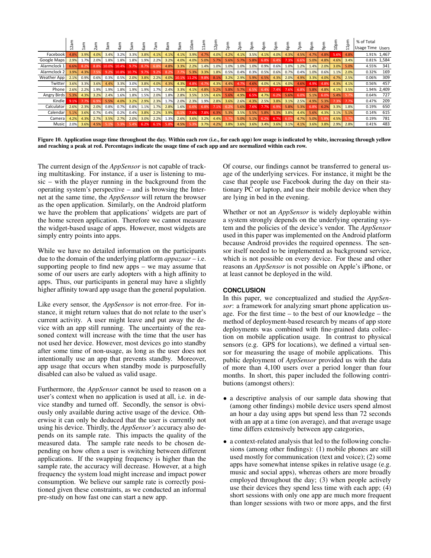|              | $\sim$ | met<br>1 |      | 3arr             |      | 5arr        | Garr |      | Яř   | Gam  | 10a              | 등<br>$\mathbf \tau$ | 2p <sub>n</sub> | 흡    | 휴    | 흢    | $\frac{5}{4}$ | 듄<br>$\overline{2}$ | ōة   |      | Spm  | ရက<br>မြ | 10pn | 툐<br>$\mathbf \tau$ | % of Total<br><b>Usage Time Users</b> |
|--------------|--------|----------|------|------------------|------|-------------|------|------|------|------|------------------|---------------------|-----------------|------|------|------|---------------|---------------------|------|------|------|----------|------|---------------------|---------------------------------------|
| Facebook     | 4.8%   | 3.9%     | 4.0% | 3.4%             | 3.2% | 3.3%        | 3.8% | 4.1% | 4.1% | 4.1% | 3.9%             | 4.7%                | 4.0%            | 4.2% | 4.1% | 3.5% | 4.1%          | 4.0%                | 4.3% | 4.5% | 4.7% | 4.8%     | 5.6% | 4.8%                | 1.91% 1,467                           |
| Google Maps  | 2.9%   | 1.7%     | 2.0% | 1.8%             | 1.8% | 1.8%        | 1.9% | 2.2% | 3.2% | 4.0% | 4.0%             | 5.0%                | 5.7%            | 5.6% | 5.7% | 5.8% | 6.8%          | 6.4%                | 7.3% | 6.6% | 5.0% | 4.8%     | 4.6% | 3.4%                | 0.81% 1,584                           |
| Alarmclock 1 | 6.6%   | 8.2%     |      | 8.8% 10.0% 10.4% |      | 9.7%        | 8.7% | 6.8% | 4.8% | 3.3% | 2.2%             | 1.4%                | 1.0%            | 1.0% | 1.0% | 1.0% | 0.9%          | 0.6%                | 1.0% | 1.2% | 1.4% | $2.0\%$  | 3.0% | 5.0%                | 341<br>4.55%                          |
| Alarmclock 2 | 3.9%   | 4.3%     | 7.5% | 9.2%             |      | 10.8% 10.7% | 9.7% | 9.2% | 8.2% | 7.7% | 5.3%             | 3.3%                | 1.8%            | 0.5% | 0.4% | 0.3% | 0.5%          | 0.6%                | 0.7% | 0.4% | 1.0% | 0.6%     | 1.1% | 2.0%                | 169<br>0.32%                          |
| Weather App  | 2.1%   | 0.9%     | 0.6% | 0.3%             | 0.5% | 2.0%        | 3.8% | 2.2% |      |      | 4.0% 10.1% 11.2% | 9.8%                | 8.1%            | 3.2% | 2.9% | 5.9% | 6.5%          | 4.3%                | 2.0% | 4.9% | 3.3% | 4.0%     | 4.7% | 2.5%                | 309<br>0.06%                          |
| Twitter      | 3.6%   | 3.3%     | 3.6% | 4.4%             | 3.3% | 3.0%        | 3.8% | 4.0% | 4.3% | 4.3% | 4.8%             | 4.7%                | 4.3%            | 4.4% | 4.7% | 4.6% | 4.0%          | 4.1%                | 4.0% | 4.6% | 4.9% | 4.8%     | 4.3% | 4.1%                | 457<br>0.56%                          |
| Phone        | 2.6%   | 2.2%     | 1.9% | 1.9%             | 1.8% | 1.9%        | 1.9% | 1.7% | 2.4% | 3.3% | 4.1%             | 4.8%                | 5.2%            | 5.8% | 5.7% | 6.5% | 6.4%          | 7.4%                | 7.6% | 6.8% | 5.8% | 4.8%     | 4.1% | 3.5%                | 1.94% 2,409                           |
| Angry Birds  | 5.3%   | 4.3%     | 3.2% | 2.4%             | 1.6% | 1.8%        | 1.5% | 2.0% | 1.8% | 2.8% | 3.5%             | 3.5%                | 4.6%            | 5.6% | 4.9% | 6.5% | 4.7%          | 6.2%                | 5.6% | 6.0% | 5.1% | 6.0%     | 5.4% | 5.7%                | 727<br>0.64%                          |
| Kindle I     | 9.1%   | 7.7%     | 6.99 | 5.5%             | 4.0% | 3.2%        | 2.9% | 2.3% | 1.7% | 2.0% | 2.3%             | 1.9%                | 2.8%            | 3.6% | 2.6% | 4.3% | 2.5%          | 3.8%                | 3.1% | 2.5% | 4.9% | 5.3%     | 7.3% | 7.7%                | 209<br>0.47%                          |
| Calculator   | 2.6%   | 2.3%     | 2.0% | 0.8%             | 0.7% | 0.8%        | 1.1% | 1.7% | 2.8% | 1.6% | 6.6%             | 6.8%                | 7.1%            | 6.2% | 5.6% | 7.6% | 7.7%          | $6.9\%$             | 5.8% | 5.3% | 6.8% | 6.2%     | 3.3% | 1.8%                | 650<br>0.19%                          |
| Calendar     | 5.1%   | 3.6%     | 0.7% | 0.4%             | 0.2% | 0.4%        | 3.8% | 2.2% | 3.9% | 6.1% | 7.6%             | 7.8%                | 6.3%            | 5.3% | 3.5% | 5.5% | 5.8%          | 5.3%                | 3.8% | 4.4% | 5.6% | 4.3%     | 3.1% | 5.1%                | 615<br>0.14%                          |
| Cameral      | 4.2%   | 4.3%     | 2.7% | 3.5%             | 2.7% | 2.0%        | 3.0% | 2.2% | 1.3% | 2.6% | 3.6%             | 3.2%                | 4.4%            | 5.7% | 5.0% | 5.1% | 6.2%          | 6.7%                | 6.0% | 4.7% | 5.0% | 5.8%     | 4.5% | 5.7%                | 781<br>0.19%                          |
| <b>Music</b> | 2.0%   | 3.6%     | 4.5% | 5.1%             | 5.3% | 5.4%        | 6.2% | 6.1% | 5.8% | 4.5% | 5.3%             | 3.7%                | 4.2%            | 3.8% | 3.6% | 3.6% | 3.4%          | $3.6\%$             | 3.1% | 4.1% | 3.6% | 3.8%     | 2.9% | 2.8%                | 483<br>0.41%                          |

<span id="page-8-0"></span>Figure 10. Application usage time throughout the day. Within each row (i.e., for each app) low usage is indicated by white, increasing through yellow and reaching a peak at red. Percentages indicate the usage time of each app and are normalized within each row.

The current design of the *AppSensor* is not capable of tracking multitasking. For instance, if a user is listening to mu- $\rm{sic}$  – with the player running in the background from the operating system's perspective – and is browsing the Internet at the same time, the *AppSensor* will return the browser as the open application. Similarly, on the Android platform we have the problem that applications' widgets are part of the home screen application. Therefore we cannot measure the widget-based usage of apps. However, most widgets are simply entry points into apps.

While we have no detailed information on the participants due to the domain of the underlying platform  $appazaar$  - i.e. supporting people to find new apps  $-$  we may assume that some of our users are early adopters with a high affinity to apps. Thus, our participants in general may have a slightly higher affinity toward app usage than the general population.

Like every sensor, the *AppSensor* is not error-free. For instance, it might return values that do not relate to the user's current activity. A user might leave and put away the device with an app still running. The uncertainty of the reasoned context will increase with the time that the user has not used her device. However, most devices go into standby after some time of non-usage, as long as the user does not intentionally use an app that prevents standby. Moreover, app usage that occurs when standby mode is purposefully disabled can also be valued as valid usage.

Furthermore, the *AppSensor* cannot be used to reason on a user's context when no application is used at all, i.e. in device standby and turned off. Secondly, the sensor is obviously only available during active usage of the device. Otherwise it can only be deduced that the user is currently not using his device. Thirdly, the *AppSensor's* accuracy also depends on its sample rate. This impacts the quality of the measured data. The sample rate needs to be chosen depending on how often a user is switching between different applications. If the swapping frequency is higher than the sample rate, the accuracy will decrease. However, at a high frequency the system load might increase and impact power consumption. We believe our sample rate is correctly positioned given these constraints, as we conducted an informal pre-study on how fast one can start a new app.

Of course, our findings cannot be transferred to general usage of the underlying services. For instance, it might be the case that people use Facebook during the day on their stationary PC or laptop, and use their mobile device when they are lying in bed in the evening.

Whether or not an *AppSensor* is widely deployable within a system strongly depends on the underlying operating system and the policies of the device's vendor. The AppSensor used in this paper was implemented on the Android platform because Android provides the required openness. The sensor itself needed to be implemented as background service, which is not possible on every device. For these and other reasons an *AppSensor* is not possible on Apple's iPhone, or at least cannot be deployed in the wild.

## **CONCLUSION**

In this paper, we conceptualized and studied the AppSensor: a framework for analyzing smart phone application usage. For the first time  $-$  to the best of our knowledge  $-$  the method of deployment-based research by means of app store deployments was combined with fine-grained data collection on mobile application usage. In contrast to physical sensors (e.g. GPS for locations), we defined a virtual sensor for measuring the usage of mobile applications. This public deployment of AppSensor provided us with the data of more than 4,100 users over a period longer than four months. In short, this paper included the following contributions (amongst others):

- a descriptive analysis of our sample data showing that (among other findings) mobile device users spend almost an hour a day using apps but spend less than 72 seconds with an app at a time (on average), and that average usage time differs extensively between app categories,
- a context-related analysis that led to the following conclusions (among other findings): (1) mobile phones are still used mostly for communication (text and voice); (2) some apps have somewhat intense spikes in relative usage (e.g. music and social apps), whereas others are more broadly employed throughout the day; (3) when people actively use their devices they spend less time with each app;  $(4)$ short sessions with only one app are much more frequent than longer sessions with two or more apps, and the first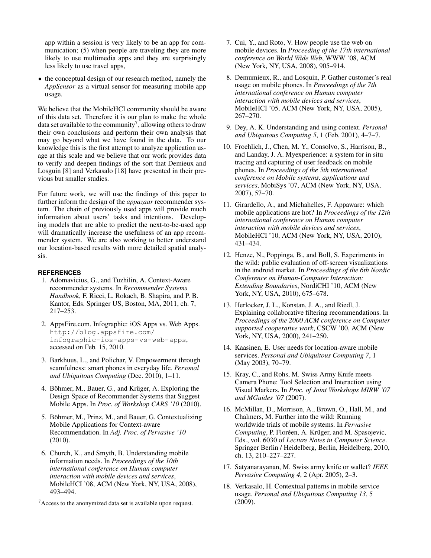app within a session is very likely to be an app for communication; (5) when people are traveling they are more likely to use multimedia apps and they are surprisingly less likely to use travel apps,

• the conceptual design of our research method, namely the *AppSensor* as a virtual sensor for measuring mobile app usage.

We believe that the MobileHCI community should be aware of this data set. Therefore it is our plan to make the whole data set available to the community<sup>[7](#page-9-18)</sup>, allowing others to draw their own conclusions and perform their own analysis that may go beyond what we have found in the data. To our knowledge this is the first attempt to analyze application usage at this scale and we believe that our work provides data to verify and deepen findings of the sort that Demieux and Losguin [\[8\]](#page-9-7) and Verkasalo [\[18\]](#page-9-5) have presented in their previous but smaller studies.

For future work, we will use the findings of this paper to further inform the design of the *appazaar* recommender system. The chain of previously used apps will provide much information about users' tasks and intentions. Developing models that are able to predict the next-to-be-used app will dramatically increase the usefulness of an app recommender system. We are also working to better understand our location-based results with more detailed spatial analysis.

## <span id="page-9-15"></span>**REFERENCES**

- 1. Adomavicius, G., and Tuzhilin, A. Context-Aware recommender systems. In *Recommender Systems Handbook*, F. Ricci, L. Rokach, B. Shapira, and P. B. Kantor, Eds. Springer US, Boston, MA, 2011, ch. 7, 217–253.
- <span id="page-9-17"></span>2. AppsFire.com. Infographic: iOS Apps vs. Web Apps. [http://blog.appsfire.com/](http://blog.appsfire.com/infographic-ios-apps-vs-web-apps) [infographic-ios-apps-vs-web-apps](http://blog.appsfire.com/infographic-ios-apps-vs-web-apps), accessed on Feb. 15, 2010.
- <span id="page-9-11"></span>3. Barkhuus, L., and Polichar, V. Empowerment through seamfulness: smart phones in everyday life. *Personal and Ubiquitous Computing* (Dec. 2010), 1–11.
- <span id="page-9-2"></span>4. Böhmer, M., Bauer, G., and Krüger, A. Exploring the Design Space of Recommender Systems that Suggest Mobile Apps. In *Proc. of Workshop CARS '10* (2010).
- <span id="page-9-12"></span>5. Böhmer, M., Prinz, M., and Bauer, G. Contextualizing Mobile Applications for Context-aware Recommendation. In *Adj. Proc. of Pervasive '10* (2010).
- <span id="page-9-3"></span>6. Church, K., and Smyth, B. Understanding mobile information needs. In *Proceedings of the 10th international conference on Human computer interaction with mobile devices and services*, MobileHCI '08, ACM (New York, NY, USA, 2008), 493–494.
- <span id="page-9-4"></span>7. Cui, Y., and Roto, V. How people use the web on mobile devices. In *Proceeding of the 17th international conference on World Wide Web*, WWW '08, ACM (New York, NY, USA, 2008), 905–914.
- <span id="page-9-7"></span>8. Demumieux, R., and Losquin, P. Gather customer's real usage on mobile phones. In *Proceedings of the 7th international conference on Human computer interaction with mobile devices and services*, MobileHCI '05, ACM (New York, NY, USA, 2005), 267–270.
- <span id="page-9-13"></span>9. Dey, A. K. Understanding and using context. *Personal and Ubiquitous Computing 5*, 1 (Feb. 2001), 4–7–7.
- <span id="page-9-6"></span>10. Froehlich, J., Chen, M. Y., Consolvo, S., Harrison, B., and Landay, J. A. Myexperience: a system for in situ tracing and capturing of user feedback on mobile phones. In *Proceedings of the 5th international conference on Mobile systems, applications and services*, MobiSys '07, ACM (New York, NY, USA, 2007), 57–70.
- <span id="page-9-10"></span>11. Girardello, A., and Michahelles, F. Appaware: which mobile applications are hot? In *Proceedings of the 12th international conference on Human computer interaction with mobile devices and services*, MobileHCI '10, ACM (New York, NY, USA, 2010), 431–434.
- <span id="page-9-9"></span>12. Henze, N., Poppinga, B., and Boll, S. Experiments in the wild: public evaluation of off-screen visualizations in the android market. In *Proceedings of the 6th Nordic Conference on Human-Computer Interaction: Extending Boundaries*, NordiCHI '10, ACM (New York, NY, USA, 2010), 675–678.
- <span id="page-9-16"></span>13. Herlocker, J. L., Konstan, J. A., and Riedl, J. Explaining collaborative filtering recommendations. In *Proceedings of the 2000 ACM conference on Computer supported cooperative work*, CSCW '00, ACM (New York, NY, USA, 2000), 241–250.
- <span id="page-9-14"></span>14. Kaasinen, E. User needs for location-aware mobile services. *Personal and Ubiquitous Computing 7*, 1 (May 2003), 70–79.
- <span id="page-9-0"></span>15. Kray, C., and Rohs, M. Swiss Army Knife meets Camera Phone: Tool Selection and Interaction using Visual Markers. In *Proc. of Joint Workshops MIRW '07 and MGuides '07* (2007).
- <span id="page-9-8"></span>16. McMillan, D., Morrison, A., Brown, O., Hall, M., and Chalmers, M. Further into the wild: Running worldwide trials of mobile systems. In *Pervasive Computing*, P. Floréen, A. Krüger, and M. Spasojevic, Eds., vol. 6030 of *Lecture Notes in Computer Science*. Springer Berlin / Heidelberg, Berlin, Heidelberg, 2010, ch. 13, 210–227–227.
- <span id="page-9-1"></span>17. Satyanarayanan, M. Swiss army knife or wallet? *IEEE Pervasive Computing 4*, 2 (Apr. 2005), 2–3.
- <span id="page-9-5"></span>18. Verkasalo, H. Contextual patterns in mobile service usage. *Personal and Ubiquitous Computing 13*, 5 (2009).

<span id="page-9-18"></span> $7$ Access to the anonymized data set is available upon request.